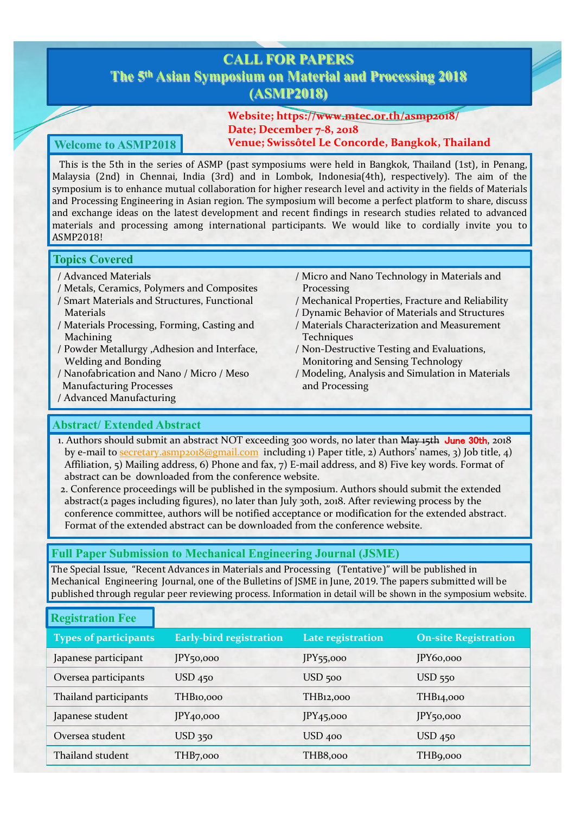# **CALL FOR PAPERS The 5th Asian Symposium on Material and Processing 2018 (ASMP2018)**

**Website; https://www.mtec.or.th/asmp2018/ Date; December 7-8, 2018 Welcome to ASMP2018 Venue; Swissôtel Le Concorde, Bangkok, Thailand**

This is the 5th in the series of ASMP (past symposiums were held in Bangkok, Thailand (1st), in Penang, Malaysia (2nd) in Chennai, India (3rd) and in Lombok, Indonesia(4th), respectively). The aim of the symposium is to enhance mutual collaboration for higher research level and activity in the fields of Materials and Processing Engineering in Asian region. The symposium will become a perfect platform to share, discuss and exchange ideas on the latest development and recent findings in research studies related to advanced materials and processing among international participants. We would like to cordially invite you to ASMP2018!

### **Topics Covered**

- / Advanced Materials
- / Metals, Ceramics, Polymers and Composites
- / Smart Materials and Structures, Functional Materials
- / Materials Processing, Forming, Casting and Machining
- / Powder Metallurgy ,Adhesion and Interface, Welding and Bonding
- / Nanofabrication and Nano / Micro / Meso Manufacturing Processes
- / Advanced Manufacturing
- / Micro and Nano Technology in Materials and Processing
- / Mechanical Properties, Fracture and Reliability
- / Dynamic Behavior of Materials and Structures / Materials Characterization and Measurement
- **Techniques** / Non-Destructive Testing and Evaluations,
- Monitoring and Sensing Technology
- / Modeling, Analysis and Simulation in Materials and Processing

# **Abstract/ Extended Abstract**

1. Authors should submit an abstract NOT exceeding 300 words, no later than May 15th June 30th, 2018 by e-mail [to secretary.asmp2018@gmail.co](mailto:secretary.asmp2018@gmail.com)m including 1) Paper title, 2) Authors' names, 3) Job title, 4) Affiliation, 5) Mailing address, 6) Phone and fax, 7) E-mail address, and 8) Five key words. Format of abstract can be downloaded from the conference website.

2. Conference proceedings will be published in the symposium. Authors should submit the extended abstract(2 pages including figures), no later than July 30th, 2018. After reviewing process by the conference committee, authors will be notified acceptance or modification for the extended abstract. Format of the extended abstract can be downloaded from the conference website.

# **Full Paper Submission to Mechanical Engineering Journal (JSME)**

The Special Issue, "Recent Advances in Materials and Processing (Tentative)" will be published in Mechanical Engineering Journal, one of the Bulletins of JSME in June, 2019. The papers submitted will be published through regular peer reviewing process. Information in detail will be shown in the symposium website.

# **Registration Fee**

| <b>Types of participants</b> | <b>Early-bird registration</b> | Late registration     | <b>On-site Registration</b> |
|------------------------------|--------------------------------|-----------------------|-----------------------------|
| Japanese participant         | JPY <sub>50,000</sub>          | $JPY$ 55,000          | IPY60,000                   |
| Oversea participants         | USD 450                        | USD 500               | USD 550                     |
| Thailand participants        | THB10,000                      | THB12,000             | THB14,000                   |
| Japanese student             | IPY <sub>40,000</sub>          | IPY <sub>45,000</sub> | JPY <sub>50,000</sub>       |
| Oversea student              | USD 350                        | USD 400               | $USD$ 450                   |
| Thailand student             | THB7,000                       | THB8,000              | THB9,000                    |